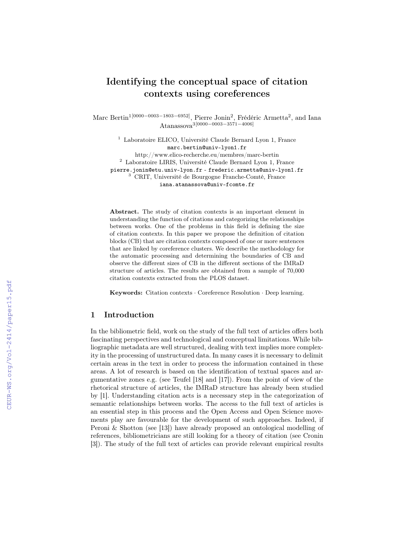# Identifying the conceptual space of citation contexts using coreferences

Marc Bertin<sup>1[0000–0003–1803–6952]</sup>, Pierre Jonin<sup>2</sup>, Frédéric Armetta<sup>2</sup>, and Iana Atanassova3[0000−0003−3571−4006]

<sup>1</sup> Laboratoire ELICO, Université Claude Bernard Lyon 1, France marc.bertin@univ-lyon1.fr http://www.elico-recherche.eu/membres/marc-bertin <sup>2</sup> Laboratoire LIRIS, Université Claude Bernard Lyon 1, France pierre.jonin@etu.univ-lyon.fr - frederic.armetta@univ-lyon1.fr <sup>3</sup> CRIT, Université de Bourgogne Franche-Comté, France iana.atanassova@univ-fcomte.fr

Abstract. The study of citation contexts is an important element in understanding the function of citations and categorizing the relationships between works. One of the problems in this field is defining the size of citation contexts. In this paper we propose the definition of citation blocks (CB) that are citation contexts composed of one or more sentences that are linked by coreference clusters. We describe the methodology for the automatic processing and determining the boundaries of CB and observe the different sizes of CB in the different sections of the IMRaD structure of articles. The results are obtained from a sample of 70,000 citation contexts extracted from the PLOS dataset.

Keywords: Citation contexts · Coreference Resolution · Deep learning.

# 1 Introduction

In the bibliometric field, work on the study of the full text of articles offers both fascinating perspectives and technological and conceptual limitations. While bibliographic metadata are well structured, dealing with text implies more complexity in the processing of unstructured data. In many cases it is necessary to delimit certain areas in the text in order to process the information contained in these areas. A lot of research is based on the identification of textual spaces and argumentative zones e.g. (see Teufel [18] and [17]). From the point of view of the rhetorical structure of articles, the IMRaD structure has already been studied by [1]. Understanding citation acts is a necessary step in the categorization of semantic relationships between works. The access to the full text of articles is an essential step in this process and the Open Access and Open Science movements play are favourable for the development of such approaches. Indeed, if Peroni & Shotton (see [13]) have already proposed an ontological modelling of references, bibliometricians are still looking for a theory of citation (see Cronin [3]). The study of the full text of articles can provide relevant empirical results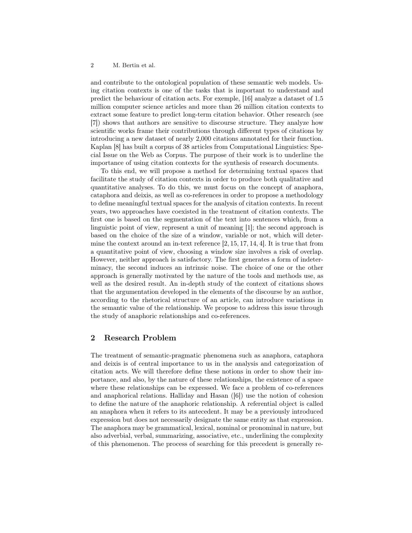#### 2 M. Bertin et al.

and contribute to the ontological population of these semantic web models. Using citation contexts is one of the tasks that is important to understand and predict the behaviour of citation acts. For exemple, [16] analyze a dataset of 1.5 million computer science articles and more than 26 million citation contexts to extract some feature to predict long-term citation behavior. Other research (see [7]) shows that authors are sensitive to discourse structure. They analyze how scientific works frame their contributions through different types of citations by introducing a new dataset of nearly 2,000 citations annotated for their function. Kaplan [8] has built a corpus of 38 articles from Computational Linguistics: Special Issue on the Web as Corpus. The purpose of their work is to underline the importance of using citation contexts for the synthesis of research documents.

To this end, we will propose a method for determining textual spaces that facilitate the study of citation contexts in order to produce both qualitative and quantitative analyses. To do this, we must focus on the concept of anaphora, cataphora and deixis, as well as co-references in order to propose a methodology to define meaningful textual spaces for the analysis of citation contexts. In recent years, two approaches have coexisted in the treatment of citation contexts. The first one is based on the segmentation of the text into sentences which, from a linguistic point of view, represent a unit of meaning [1]; the second approach is based on the choice of the size of a window, variable or not, which will determine the context around an in-text reference [2, 15, 17, 14, 4]. It is true that from a quantitative point of view, choosing a window size involves a risk of overlap. However, neither approach is satisfactory. The first generates a form of indeterminacy, the second induces an intrinsic noise. The choice of one or the other approach is generally motivated by the nature of the tools and methods use, as well as the desired result. An in-depth study of the context of citations shows that the argumentation developed in the elements of the discourse by an author, according to the rhetorical structure of an article, can introduce variations in the semantic value of the relationship. We propose to address this issue through the study of anaphoric relationships and co-references.

# 2 Research Problem

The treatment of semantic-pragmatic phenomena such as anaphora, cataphora and deixis is of central importance to us in the analysis and categorization of citation acts. We will therefore define these notions in order to show their importance, and also, by the nature of these relationships, the existence of a space where these relationships can be expressed. We face a problem of co-references and anaphorical relations. Halliday and Hasan ([6]) use the notion of cohesion to define the nature of the anaphoric relationship. A referential object is called an anaphora when it refers to its antecedent. It may be a previously introduced expression but does not necessarily designate the same entity as that expression. The anaphora may be grammatical, lexical, nominal or pronominal in nature, but also adverbial, verbal, summarizing, associative, etc., underlining the complexity of this phenomenon. The process of searching for this precedent is generally re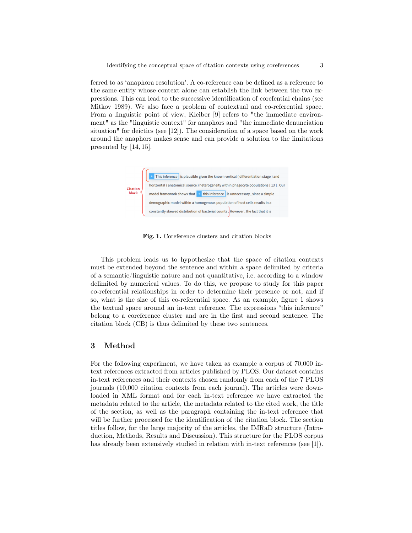ferred to as 'anaphora resolution'. A co-reference can be defined as a reference to the same entity whose context alone can establish the link between the two expressions. This can lead to the successive identification of corefential chains (see Mitkov 1989). We also face a problem of contextual and co-referential space. From a linguistic point of view, Kleiber [9] refers to "the immediate environment" as the "linguistic context" for anaphors and "the immediate denunciation situation" for deictics (see [12]). The consideration of a space based on the work around the anaphors makes sense and can provide a solution to the limitations presented by [14, 15].



Fig. 1. Coreference clusters and citation blocks

This problem leads us to hypothesize that the space of citation contexts must be extended beyond the sentence and within a space delimited by criteria of a semantic/linguistic nature and not quantitative, i.e. according to a window delimited by numerical values. To do this, we propose to study for this paper co-referential relationships in order to determine their presence or not, and if so, what is the size of this co-referential space. As an example, figure 1 shows the textual space around an in-text reference. The expressions "this inference" belong to a coreference cluster and are in the first and second sentence. The citation block (CB) is thus delimited by these two sentences.

## 3 Method

For the following experiment, we have taken as example a corpus of 70,000 intext references extracted from articles published by PLOS. Our dataset contains in-text references and their contexts chosen randomly from each of the 7 PLOS journals (10,000 citation contexts from each journal). The articles were downloaded in XML format and for each in-text reference we have extracted the metadata related to the article, the metadata related to the cited work, the title of the section, as well as the paragraph containing the in-text reference that will be further processed for the identification of the citation block. The section titles follow, for the large majority of the articles, the IMRaD structure (Introduction, Methods, Results and Discussion). This structure for the PLOS corpus has already been extensively studied in relation with in-text references (see [1]).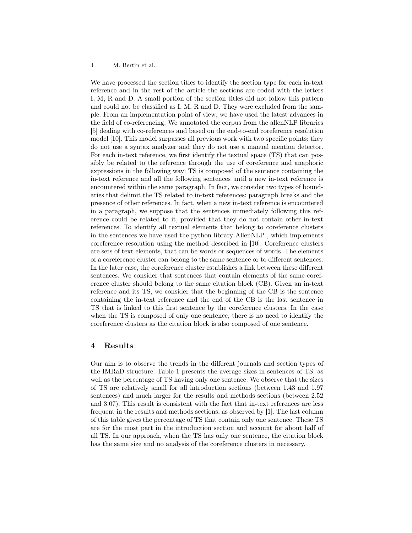#### 4 M. Bertin et al.

We have processed the section titles to identify the section type for each in-text reference and in the rest of the article the sections are coded with the letters I, M, R and D. A small portion of the section titles did not follow this pattern and could not be classified as I, M, R and D. They were excluded from the sample. From an implementation point of view, we have used the latest advances in the field of co-referencing. We annotated the corpus from the allenNLP libraries [5] dealing with co-references and based on the end-to-end coreference resolution model [10]. This model surpasses all previous work with two specific points: they do not use a syntax analyzer and they do not use a manual mention detector. For each in-text reference, we first identify the textual space (TS) that can possibly be related to the reference through the use of coreference and anaphoric expressions in the following way: TS is composed of the sentence containing the in-text reference and all the following sentences until a new in-text reference is encountered within the same paragraph. In fact, we consider two types of boundaries that delimit the TS related to in-text references: paragraph breaks and the presence of other references. In fact, when a new in-text reference is encountered in a paragraph, we suppose that the sentences immediately following this reference could be related to it, provided that they do not contain other in-text references. To identify all textual elements that belong to coreference clusters in the sentences we have used the python library AllenNLP , which implements coreference resolution using the method described in [10]. Coreference clusters are sets of text elements, that can be words or sequences of words. The elements of a coreference cluster can belong to the same sentence or to different sentences. In the later case, the coreference cluster establishes a link between these different sentences. We consider that sentences that contain elements of the same coreference cluster should belong to the same citation block (CB). Given an in-text reference and its TS, we consider that the beginning of the CB is the sentence containing the in-text reference and the end of the CB is the last sentence in TS that is linked to this first sentence by the coreference clusters. In the case when the TS is composed of only one sentence, there is no need to identify the coreference clusters as the citation block is also composed of one sentence.

### 4 Results

Our aim is to observe the trends in the different journals and section types of the IMRaD structure. Table 1 presents the average sizes in sentences of TS, as well as the percentage of TS having only one sentence. We observe that the sizes of TS are relatively small for all introduction sections (between 1.43 and 1.97 sentences) and much larger for the results and methods sections (between 2.52 and 3.07). This result is consistent with the fact that in-text references are less frequent in the results and methods sections, as observed by [1]. The last column of this table gives the percentage of TS that contain only one sentence. These TS are for the most part in the introduction section and account for about half of all TS. In our approach, when the TS has only one sentence, the citation block has the same size and no analysis of the coreference clusters in necessary.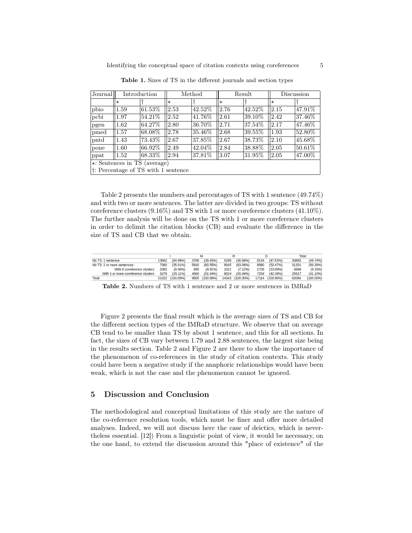| Journal                                       | Introduction |         | Method  |         |      | Result  | Discussion |         |  |  |
|-----------------------------------------------|--------------|---------|---------|---------|------|---------|------------|---------|--|--|
|                                               | $^\star$     |         | $\star$ |         | '∗   |         | $^\star$   |         |  |  |
| pbio                                          | 1.59         | 61.53%  | 2.53    | 42.52\% | 2.76 | 42.52%  | 2.15       | 47.91\% |  |  |
| pcbi                                          | 1.97         | 54.21%  | 2.52    | 41.76%  | 2.61 | 39.10\% | 2.42       | 37.46\% |  |  |
| pgen                                          | 1.62         | 64.27%  | 2.80    | 36.70%  | 2.71 | 37.54\% | 2.17       | 47.46\% |  |  |
| pmed                                          | 1.57         | 68.08%  | 2.78    | 35.46\% | 2.68 | 39.55%  | 1.93       | 52.80\% |  |  |
| pntd                                          | 1.43         | 73.43%  | 2.67    | 37.85%  | 2.67 | 38.73%  | 2.10       | 45.68%  |  |  |
| pone                                          | 1.60         | 66.92%  | 2.49    | 42.04\% | 2.84 | 38.88%  | 2.05       | 50.61\% |  |  |
| ppat                                          | 1.52         | 68.33\% | 2.94    | 37.81\% | 3.07 | 31.95\% | 2.05       | 47.00%  |  |  |
| $\star$ : Sentences in TS (average)           |              |         |         |         |      |         |            |         |  |  |
| $ \dagger$ : Percentage of TS with 1 sentence |              |         |         |         |      |         |            |         |  |  |

Table 1. Sizes of TS in the different journals and section types

Table 2 presents the numbers and percentages of TS with 1 sentence (49.74%) and with two or more sentences. The latter are divided in two groups: TS without coreference clusters (9.16%) and TS with 1 or more coreference clusters (41.10%). The further analysis will be done on the TS with 1 or more coreference clusters in order to delimit the citation blocks (CB) and evaluate the difference in the size of TS and CB that we obtain.

|                                     |       |              |      |                |      |                 |       |              |       | Total        |  |
|-------------------------------------|-------|--------------|------|----------------|------|-----------------|-------|--------------|-------|--------------|--|
| Nb TS: 1 sentence                   | 13662 | $(64.99\%)$  | 3789 | (39.45%)       | 5298 | $(36.94\%)$     | 8134  | (47.53%)     | 30883 | (49.74%      |  |
| Nb TS: 2 or more sentences:         | 7360  | $(35.01\%)$  | 5816 | (60.55%)       | 9045 | $(63.06\%)$     | 8980  | (52.47%)     | 31201 | (50.26%)     |  |
| With 0 coreference clusters         | 2081  | (9.90%       | 856  | (8.91%)        | 1021 | (7.1296)        | 1726  | (10.09%)     | 5684  | (9.16%)      |  |
| With 1 or more coreference clusters | 5279  | $(25.11\%)$  | 4960 | (51.64%)       | 8024 | (55.94%)        | 7254  | (42.39%)     | 25517 | (41.10%      |  |
| <b>Total</b>                        | 21022 | $(100.00\%)$ |      | 9605 (100.00%) |      | 14343 (100.00%) | 17114 | $(100.00\%)$ | 62084 | $(100.00\%)$ |  |

Table 2. Numbers of TS with 1 sentence and 2 or more sentences in IMRaD

Figure 2 presents the final result which is the average sizes of TS and CB for the different section types of the IMRaD structure. We observe that on average CB tend to be smaller than TS by about 1 sentence, and this for all sections. In fact, the sizes of CB vary between 1.79 and 2.88 sentences, the largest size being in the results section. Table 2 and Figure 2 are there to show the importance of the phenomenon of co-references in the study of citation contexts. This study could have been a negative study if the anaphoric relationships would have been weak, which is not the case and the phenomenon cannot be ignored.

## 5 Discussion and Conclusion

The methodological and conceptual limitations of this study are the nature of the co-reference resolution tools, which must be finer and offer more detailed analyses. Indeed, we will not discuss here the case of deictics, which is nevertheless essential. [12]) From a linguistic point of view, it would be necessary, on the one hand, to extend the discussion around this "place of existence" of the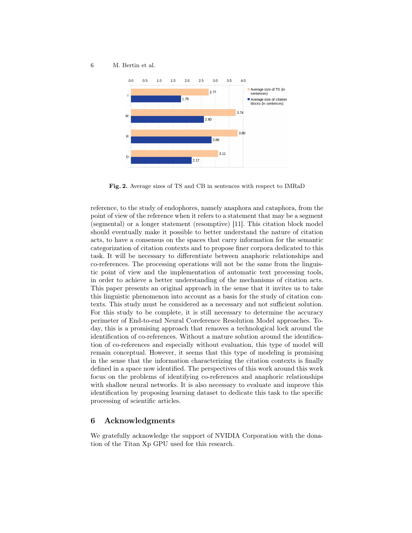6 M. Bertin et al.



Fig. 2. Average sizes of TS and CB in sentences with respect to IMRaD

reference, to the study of endophores, namely anaphora and cataphora, from the point of view of the reference when it refers to a statement that may be a segment (segmental) or a longer statement (resomptive) [11]. This citation block model should eventually make it possible to better understand the nature of citation acts, to have a consensus on the spaces that carry information for the semantic categorization of citation contexts and to propose finer corpora dedicated to this task. It will be necessary to differentiate between anaphoric relationships and co-references. The processing operations will not be the same from the linguistic point of view and the implementation of automatic text processing tools, in order to achieve a better understanding of the mechanisms of citation acts. This paper presents an original approach in the sense that it invites us to take this linguistic phenomenon into account as a basis for the study of citation contexts. This study must be considered as a necessary and not sufficient solution. For this study to be complete, it is still necessary to determine the accuracy perimeter of End-to-end Neural Coreference Resolution Model approaches. Today, this is a promising approach that removes a technological lock around the identification of co-references. Without a mature solution around the identification of co-references and especially without evaluation, this type of model will remain conceptual. However, it seems that this type of modeling is promising in the sense that the information characterizing the citation contexts is finally defined in a space now identified. The perspectives of this work around this work focus on the problems of identifying co-references and anaphoric relationships with shallow neural networks. It is also necessary to evaluate and improve this identification by proposing learning dataset to dedicate this task to the specific processing of scientific articles.

### 6 Acknowledgments

We gratefully acknowledge the support of NVIDIA Corporation with the donation of the Titan Xp GPU used for this research.